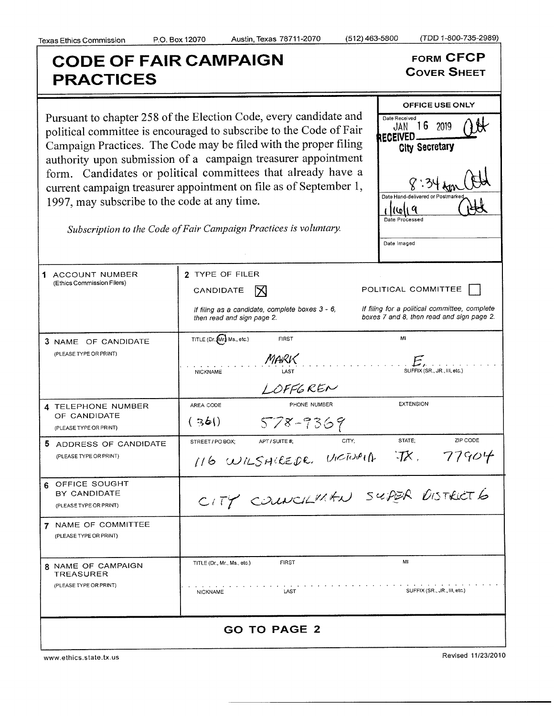RECEIVED\_\_\_\_

Date Hand-delivered or F

Date Processed

i kuli 9

Date Imaged

all

## CODE OF FAIR CAMPAIGN FORM CFCP PRACTICES

COVER SHEET

OFFICE USE ONLY

Clty Secretary

Pursuant to chapter 258 of the Election Code, every candidate and Date Received 16 2019 political committee is encouraged to subscribe to the Code of Fair Campaign Practices. The Code may be filed with the proper filing authority upon submission of a campaign treasurer appointment form. Candidates or political committees that already have <sup>a</sup> current campaign treasurer appointment on file as of September 1, 1997, may subscribe to the code at any time.

Subscription to the Code of Fair Campaign Practices is voluntary.

| 1 ACCOUNT NUMBER<br>(Ethics Commission Filers)                   | 2 TYPE OF FILER<br>CANDIDATE<br>IX<br>If filing as a candidate, complete boxes 3 - 6,<br>then read and sign page 2. | POLITICAL COMMITTEE<br>If filing for a political committee, complete<br>boxes 7 and 8, then read and sign page 2. |
|------------------------------------------------------------------|---------------------------------------------------------------------------------------------------------------------|-------------------------------------------------------------------------------------------------------------------|
| 3 NAME OF CANDIDATE<br>(PLEASE TYPE OR PRINT)                    | TITLE (Dr. Mr.) Ms., etc.)<br><b>FIRST</b><br>MARK<br>NICKNAME<br>LOFFGREN                                          | MI<br>$E_{\ell}$<br>SUFFIX (SR., JR., III, etc.)                                                                  |
| 4 TELEPHONE NUMBER<br>OF CANDIDATE<br>(PLEASE TYPE OR PRINT)     | PHONE NUMBER<br>AREA CODE<br>(36)<br>578-9369                                                                       | <b>EXTENSION</b>                                                                                                  |
| 5 ADDRESS OF CANDIDATE<br>(PLEASE TYPE OR PRINT)                 | CITY:<br>STREET / PO BOX;<br>APT / SUITE #;<br>116 WILSHIREDE. VICTUALA JX. 77904                                   | ZIP CODE<br>STATE:                                                                                                |
| 6 OFFICE SOUGHT<br>BY CANDIDATE<br>(PLEASE TYPE OR PRINT)        | CITY COUNCILMEN SUPER DISTRICT 6                                                                                    |                                                                                                                   |
| 7 NAME OF COMMITTEE<br>(PLEASE TYPE OR PRINT)                    |                                                                                                                     |                                                                                                                   |
| 8 NAME OF CAMPAIGN<br><b>TREASURER</b><br>(PLEASE TYPE OR PRINT) | <b>FIRST</b><br>TITLE (Dr. Mr. Ms., etc.)<br><b>LAST</b><br><b>NICKNAME</b>                                         | MI<br>SUFFIX (SR., JR., III, etc.)                                                                                |
| <b>GO TO PAGE 2</b>                                              |                                                                                                                     |                                                                                                                   |

www. ethics. state. tx. us

Revised 11/23/2010